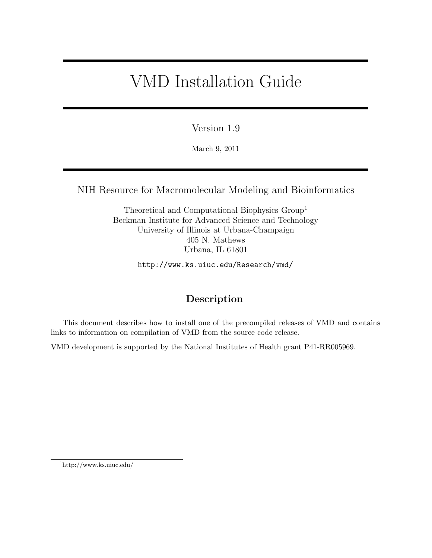# VMD Installation Guide

Version 1.9

March 9, 2011

NIH Resource for Macromolecular Modeling and Bioinformatics

Theoretical and Computational Biophysics Group<sup>1</sup> Beckman Institute for Advanced Science and Technology University of Illinois at Urbana-Champaign 405 N. Mathews Urbana, IL 61801

http://www.ks.uiuc.edu/Research/vmd/

# Description

This document describes how to install one of the precompiled releases of VMD and contains links to information on compilation of VMD from the source code release.

VMD development is supported by the National Institutes of Health grant P41-RR005969.

<sup>1</sup>http://www.ks.uiuc.edu/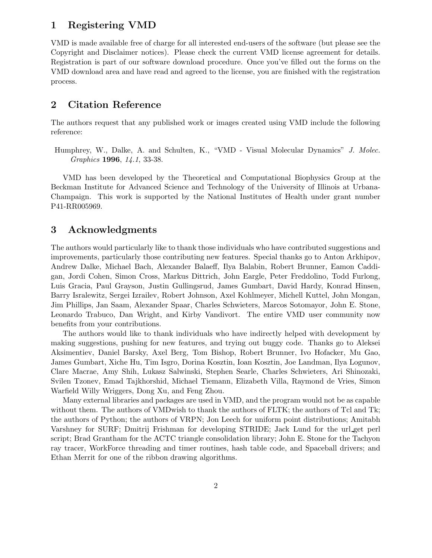# 1 Registering VMD

VMD is made available free of charge for all interested end-users of the software (but please see the Copyright and Disclaimer notices). Please check the current VMD license agreement for details. Registration is part of our software download procedure. Once you've filled out the forms on the VMD download area and have read and agreed to the license, you are finished with the registration process.

# 2 Citation Reference

The authors request that any published work or images created using VMD include the following reference:

Humphrey, W., Dalke, A. and Schulten, K., "VMD - Visual Molecular Dynamics" J. Molec. Graphics 1996, 14.1, 33-38.

VMD has been developed by the Theoretical and Computational Biophysics Group at the Beckman Institute for Advanced Science and Technology of the University of Illinois at Urbana-Champaign. This work is supported by the National Institutes of Health under grant number P41-RR005969.

# 3 Acknowledgments

The authors would particularly like to thank those individuals who have contributed suggestions and improvements, particularly those contributing new features. Special thanks go to Anton Arkhipov, Andrew Dalke, Michael Bach, Alexander Balaeff, Ilya Balabin, Robert Brunner, Eamon Caddigan, Jordi Cohen, Simon Cross, Markus Dittrich, John Eargle, Peter Freddolino, Todd Furlong, Luis Gracia, Paul Grayson, Justin Gullingsrud, James Gumbart, David Hardy, Konrad Hinsen, Barry Isralewitz, Sergei Izrailev, Robert Johnson, Axel Kohlmeyer, Michell Kuttel, John Mongan, Jim Phillips, Jan Saam, Alexander Spaar, Charles Schwieters, Marcos Sotomayor, John E. Stone, Leonardo Trabuco, Dan Wright, and Kirby Vandivort. The entire VMD user community now benefits from your contributions.

The authors would like to thank individuals who have indirectly helped with development by making suggestions, pushing for new features, and trying out buggy code. Thanks go to Aleksei Aksimentiev, Daniel Barsky, Axel Berg, Tom Bishop, Robert Brunner, Ivo Hofacker, Mu Gao, James Gumbart, Xiche Hu, Tim Isgro, Dorina Kosztin, Ioan Kosztin, Joe Landman, Ilya Logunov, Clare Macrae, Amy Shih, Lukasz Salwinski, Stephen Searle, Charles Schwieters, Ari Shinozaki, Svilen Tzonev, Emad Tajkhorshid, Michael Tiemann, Elizabeth Villa, Raymond de Vries, Simon Warfield Willy Wriggers, Dong Xu, and Feng Zhou.

Many external libraries and packages are used in VMD, and the program would not be as capable without them. The authors of VMDwish to thank the authors of FLTK; the authors of Tcl and Tk; the authors of Python; the authors of VRPN; Jon Leech for uniform point distributions; Amitabh Varshney for SURF; Dmitrij Frishman for developing STRIDE; Jack Lund for the url get perl script; Brad Grantham for the ACTC triangle consolidation library; John E. Stone for the Tachyon ray tracer, WorkForce threading and timer routines, hash table code, and Spaceball drivers; and Ethan Merrit for one of the ribbon drawing algorithms.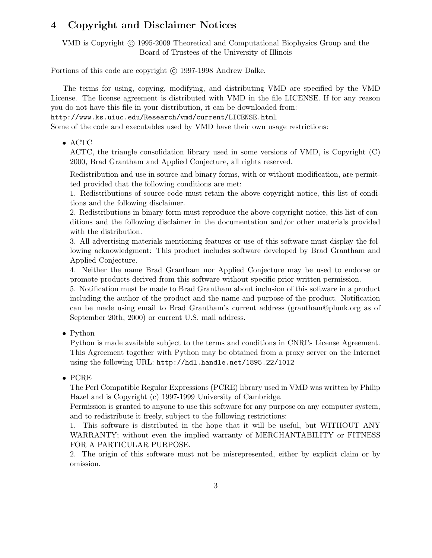# 4 Copyright and Disclaimer Notices

VMD is Copyright © 1995-2009 Theoretical and Computational Biophysics Group and the Board of Trustees of the University of Illinois

Portions of this code are copyright (c) 1997-1998 Andrew Dalke.

The terms for using, copying, modifying, and distributing VMD are specified by the VMD License. The license agreement is distributed with VMD in the file LICENSE. If for any reason you do not have this file in your distribution, it can be downloaded from:

http://www.ks.uiuc.edu/Research/vmd/current/LICENSE.html

Some of the code and executables used by VMD have their own usage restrictions:

• ACTC

ACTC, the triangle consolidation library used in some versions of VMD, is Copyright (C) 2000, Brad Grantham and Applied Conjecture, all rights reserved.

Redistribution and use in source and binary forms, with or without modification, are permitted provided that the following conditions are met:

1. Redistributions of source code must retain the above copyright notice, this list of conditions and the following disclaimer.

2. Redistributions in binary form must reproduce the above copyright notice, this list of conditions and the following disclaimer in the documentation and/or other materials provided with the distribution.

3. All advertising materials mentioning features or use of this software must display the following acknowledgment: This product includes software developed by Brad Grantham and Applied Conjecture.

4. Neither the name Brad Grantham nor Applied Conjecture may be used to endorse or promote products derived from this software without specific prior written permission.

5. Notification must be made to Brad Grantham about inclusion of this software in a product including the author of the product and the name and purpose of the product. Notification can be made using email to Brad Grantham's current address (grantham@plunk.org as of September 20th, 2000) or current U.S. mail address.

• Python

Python is made available subject to the terms and conditions in CNRI's License Agreement. This Agreement together with Python may be obtained from a proxy server on the Internet using the following URL: http://hdl.handle.net/1895.22/1012

• PCRE

The Perl Compatible Regular Expressions (PCRE) library used in VMD was written by Philip Hazel and is Copyright (c) 1997-1999 University of Cambridge.

Permission is granted to anyone to use this software for any purpose on any computer system, and to redistribute it freely, subject to the following restrictions:

1. This software is distributed in the hope that it will be useful, but WITHOUT ANY WARRANTY; without even the implied warranty of MERCHANTABILITY or FITNESS FOR A PARTICULAR PURPOSE.

2. The origin of this software must not be misrepresented, either by explicit claim or by omission.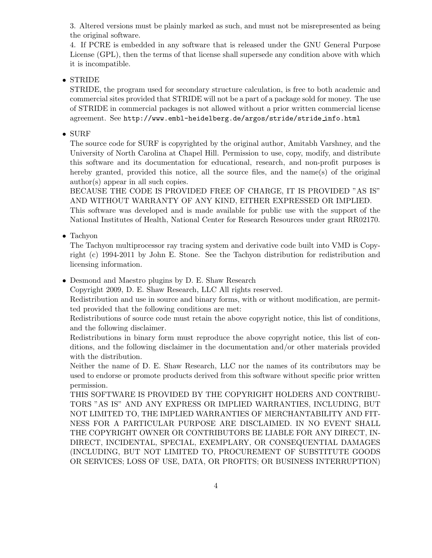3. Altered versions must be plainly marked as such, and must not be misrepresented as being the original software.

4. If PCRE is embedded in any software that is released under the GNU General Purpose License (GPL), then the terms of that license shall supersede any condition above with which it is incompatible.

#### • STRIDE

STRIDE, the program used for secondary structure calculation, is free to both academic and commercial sites provided that STRIDE will not be a part of a package sold for money. The use of STRIDE in commercial packages is not allowed without a prior written commercial license agreement. See http://www.embl-heidelberg.de/argos/stride/stride info.html

#### • SURF

The source code for SURF is copyrighted by the original author, Amitabh Varshney, and the University of North Carolina at Chapel Hill. Permission to use, copy, modify, and distribute this software and its documentation for educational, research, and non-profit purposes is hereby granted, provided this notice, all the source files, and the name(s) of the original author(s) appear in all such copies.

BECAUSE THE CODE IS PROVIDED FREE OF CHARGE, IT IS PROVIDED "AS IS" AND WITHOUT WARRANTY OF ANY KIND, EITHER EXPRESSED OR IMPLIED.

This software was developed and is made available for public use with the support of the National Institutes of Health, National Center for Research Resources under grant RR02170.

#### • Tachyon

The Tachyon multiprocessor ray tracing system and derivative code built into VMD is Copyright (c) 1994-2011 by John E. Stone. See the Tachyon distribution for redistribution and licensing information.

• Desmond and Maestro plugins by D. E. Shaw Research

Copyright 2009, D. E. Shaw Research, LLC All rights reserved.

Redistribution and use in source and binary forms, with or without modification, are permitted provided that the following conditions are met:

Redistributions of source code must retain the above copyright notice, this list of conditions, and the following disclaimer.

Redistributions in binary form must reproduce the above copyright notice, this list of conditions, and the following disclaimer in the documentation and/or other materials provided with the distribution.

Neither the name of D. E. Shaw Research, LLC nor the names of its contributors may be used to endorse or promote products derived from this software without specific prior written permission.

THIS SOFTWARE IS PROVIDED BY THE COPYRIGHT HOLDERS AND CONTRIBU-TORS "AS IS" AND ANY EXPRESS OR IMPLIED WARRANTIES, INCLUDING, BUT NOT LIMITED TO, THE IMPLIED WARRANTIES OF MERCHANTABILITY AND FIT-NESS FOR A PARTICULAR PURPOSE ARE DISCLAIMED. IN NO EVENT SHALL THE COPYRIGHT OWNER OR CONTRIBUTORS BE LIABLE FOR ANY DIRECT, IN-DIRECT, INCIDENTAL, SPECIAL, EXEMPLARY, OR CONSEQUENTIAL DAMAGES (INCLUDING, BUT NOT LIMITED TO, PROCUREMENT OF SUBSTITUTE GOODS OR SERVICES; LOSS OF USE, DATA, OR PROFITS; OR BUSINESS INTERRUPTION)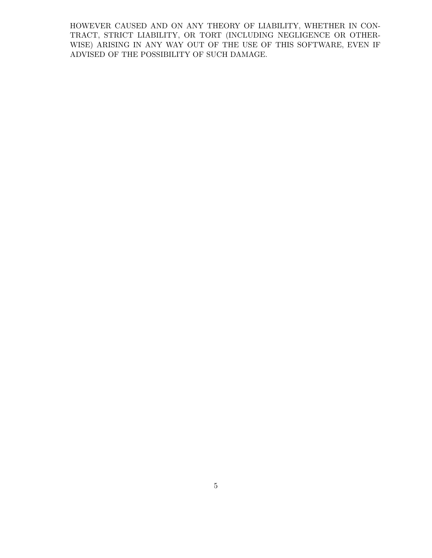HOWEVER CAUSED AND ON ANY THEORY OF LIABILITY, WHETHER IN CON-TRACT, STRICT LIABILITY, OR TORT (INCLUDING NEGLIGENCE OR OTHER-WISE) ARISING IN ANY WAY OUT OF THE USE OF THIS SOFTWARE, EVEN IF ADVISED OF THE POSSIBILITY OF SUCH DAMAGE.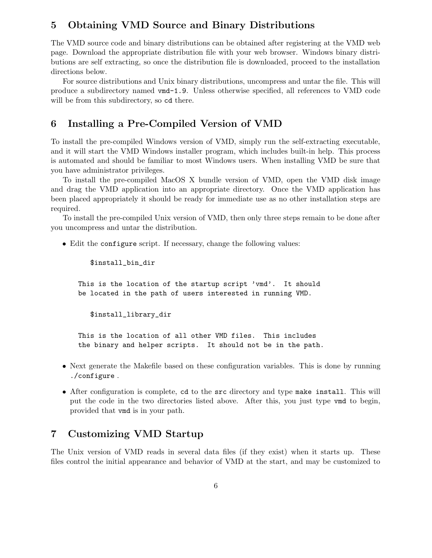# 5 Obtaining VMD Source and Binary Distributions

The VMD source code and binary distributions can be obtained after registering at the VMD web page. Download the appropriate distribution file with your web browser. Windows binary distributions are self extracting, so once the distribution file is downloaded, proceed to the installation directions below.

For source distributions and Unix binary distributions, uncompress and untar the file. This will produce a subdirectory named vmd-1.9. Unless otherwise specified, all references to VMD code will be from this subdirectory, so  $cd$  there.

# 6 Installing a Pre-Compiled Version of VMD

To install the pre-compiled Windows version of VMD, simply run the self-extracting executable, and it will start the VMD Windows installer program, which includes built-in help. This process is automated and should be familiar to most Windows users. When installing VMD be sure that you have administrator privileges.

To install the pre-compiled MacOS X bundle version of VMD, open the VMD disk image and drag the VMD application into an appropriate directory. Once the VMD application has been placed appropriately it should be ready for immediate use as no other installation steps are required.

To install the pre-compiled Unix version of VMD, then only three steps remain to be done after you uncompress and untar the distribution.

• Edit the configure script. If necessary, change the following values:

\$install\_bin\_dir

This is the location of the startup script 'vmd'. It should be located in the path of users interested in running VMD.

\$install\_library\_dir

This is the location of all other VMD files. This includes the binary and helper scripts. It should not be in the path.

- Next generate the Makefile based on these configuration variables. This is done by running ./configure .
- After configuration is complete, cd to the src directory and type make install. This will put the code in the two directories listed above. After this, you just type vmd to begin, provided that vmd is in your path.

# 7 Customizing VMD Startup

The Unix version of VMD reads in several data files (if they exist) when it starts up. These files control the initial appearance and behavior of VMD at the start, and may be customized to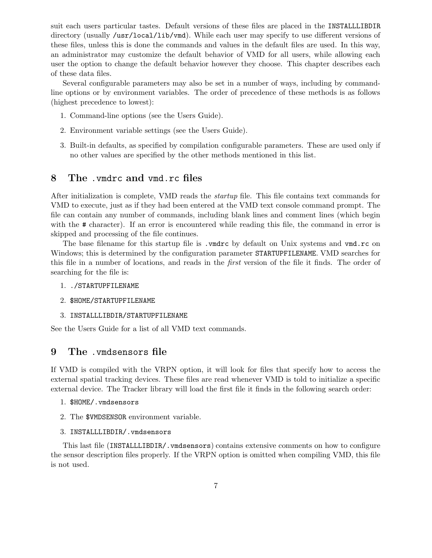suit each users particular tastes. Default versions of these files are placed in the INSTALLLIBDIR directory (usually /usr/local/lib/vmd). While each user may specify to use different versions of these files, unless this is done the commands and values in the default files are used. In this way, an administrator may customize the default behavior of VMD for all users, while allowing each user the option to change the default behavior however they choose. This chapter describes each of these data files.

Several configurable parameters may also be set in a number of ways, including by commandline options or by environment variables. The order of precedence of these methods is as follows (highest precedence to lowest):

- 1. Command-line options (see the Users Guide).
- 2. Environment variable settings (see the Users Guide).
- 3. Built-in defaults, as specified by compilation configurable parameters. These are used only if no other values are specified by the other methods mentioned in this list.

### 8 The .vmdrc and vmd.rc files

After initialization is complete, VMD reads the startup file. This file contains text commands for VMD to execute, just as if they had been entered at the VMD text console command prompt. The file can contain any number of commands, including blank lines and comment lines (which begin with the # character). If an error is encountered while reading this file, the command in error is skipped and processing of the file continues.

The base filename for this startup file is . vmdrc by default on Unix systems and vmd.rc on Windows; this is determined by the configuration parameter STARTUPFILENAME. VMD searches for this file in a number of locations, and reads in the first version of the file it finds. The order of searching for the file is:

- 1. ./STARTUPFILENAME
- 2. \$HOME/STARTUPFILENAME
- 3. INSTALLLIBDIR/STARTUPFILENAME

See the Users Guide for a list of all VMD text commands.

## 9 The .vmdsensors file

If VMD is compiled with the VRPN option, it will look for files that specify how to access the external spatial tracking devices. These files are read whenever VMD is told to initialize a specific external device. The Tracker library will load the first file it finds in the following search order:

- 1. \$HOME/.vmdsensors
- 2. The \$VMDSENSOR environment variable.
- 3. INSTALLLIBDIR/.vmdsensors

This last file (INSTALLLIBDIR/.vmdsensors) contains extensive comments on how to configure the sensor description files properly. If the VRPN option is omitted when compiling VMD, this file is not used.